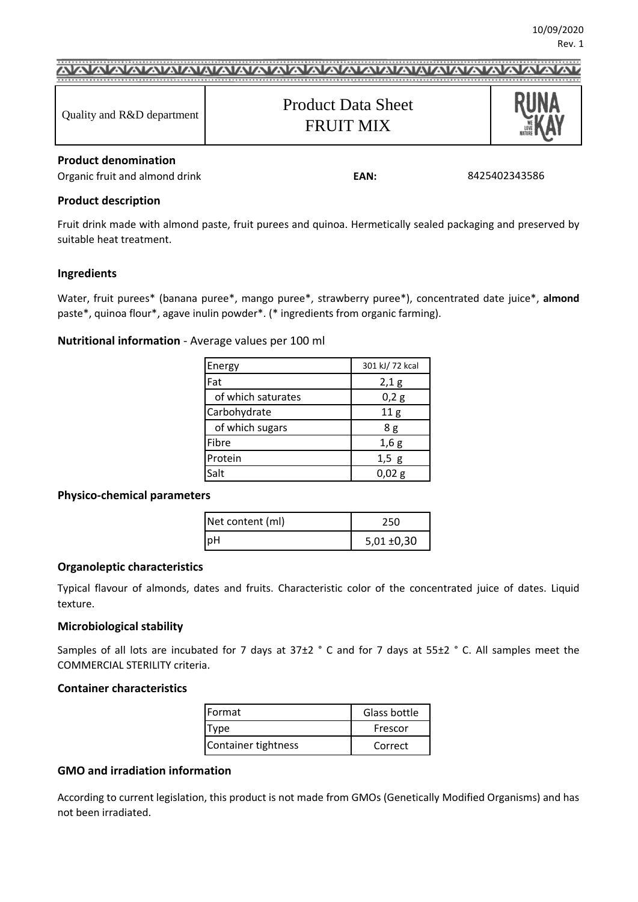# Product Data Sheet Quality and R&D department FRUIT MIX

# **Product denomination**

Organic fruit and almond drink **EAN:** 

8425402343586

## **Product description**

Fruit drink made with almond paste, fruit purees and quinoa. Hermetically sealed packaging and preserved by suitable heat treatment.

## **Ingredients**

Water, fruit purees\* (banana puree\*, mango puree\*, strawberry puree\*), concentrated date juice\*, **almond**  paste\*, quinoa flour\*, agave inulin powder\*. (\* ingredients from organic farming).

# **Nutritional information** - Average values per 100 ml

| Energy             | 301 kJ/ 72 kcal |  |
|--------------------|-----------------|--|
| Fat                | 2,1 g           |  |
| of which saturates | 0,2g            |  |
| Carbohydrate       | 11 <sub>g</sub> |  |
| of which sugars    | 8g              |  |
| Fibre              | 1,6g            |  |
| Protein            | $1,5$ g         |  |
| Salt               | 0,02 g          |  |

## **Physico-chemical parameters**

| Net content (ml) | 250             |
|------------------|-----------------|
| <b>IpH</b>       | $5,01 \pm 0,30$ |

## **Organoleptic characteristics**

Typical flavour of almonds, dates and fruits. Characteristic color of the concentrated juice of dates. Liquid texture.

## **Microbiological stability**

Samples of all lots are incubated for 7 days at 37±2 ° C and for 7 days at 55±2 ° C. All samples meet the COMMERCIAL STERILITY criteria.

# **Container characteristics**

| <b>IFormat</b>      | Glass bottle |
|---------------------|--------------|
| vne                 | Frescor      |
| Container tightness | Correct      |

# **GMO and irradiation information**

According to current legislation, this product is not made from GMOs (Genetically Modified Organisms) and has not been irradiated.